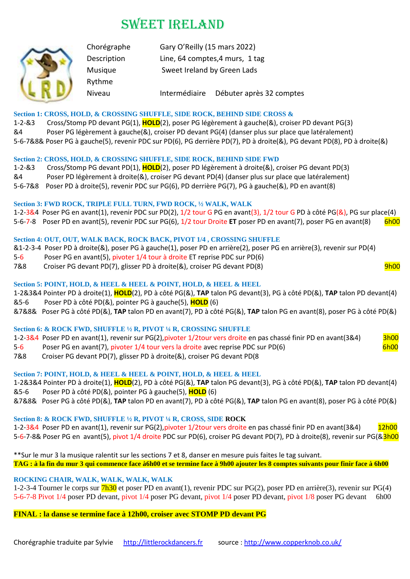# SWEET IRELAND



Rythme

Chorégraphe Gary O'Reilly (15 mars 2022) Description Line, 64 comptes,4 murs, 1 tag Musique Sweet Ireland by Green Lads

Niveau Intermédiaire Débuter après 32 comptes

### **Section 1: CROSS, HOLD, & CROSSING SHUFFLE, SIDE ROCK, BEHIND SIDE CROSS &**

1-2-&3 Cross/Stomp PD devant PG(1), **HOLD**(2), poser PG légèrement à gauche(&), croiser PD devant PG(3) &4 Poser PG légèrement à gauche(&), croiser PD devant PG(4) (danser plus sur place que latéralement) 5-6-7&8& Poser PG à gauche(5), revenir PDC sur PD(6), PG derrière PD(7), PD à droite(&), PG devant PD(8), PD à droite(&)

#### **Section 2: CROSS, HOLD, & CROSSING SHUFFLE, SIDE ROCK, BEHIND SIDE FWD**

1-2-&3 Cross/Stomp PG devant PD(1), **HOLD**(2), poser PD légèrement à droite(&), croiser PG devant PD(3)

&4 Poser PD légèrement à droite(&), croiser PG devant PD(4) (danser plus sur place que latéralement)

5-6-7&8 Poser PD à droite(5), revenir PDC sur PG(6), PD derrière PG(7), PG à gauche(&), PD en avant(8)

## **Section 3: FWD ROCK, TRIPLE FULL TURN, FWD ROCK, ½ WALK, WALK**

1-2-3&4 Poser PG en avant(1), revenir PDC sur PD(2), 1/2 tour G PG en avant(3), 1/2 tour G PD à côté PG(&), PG sur place(4) 5-6-7-8 Poser PD en avant(5), revenir PDC sur PG(6), 1/2 tour Droite **ET** poser PD en avant(7), poser PG en avant(8) 6h00

## **Section 4: OUT, OUT, WALK BACK, ROCK BACK, PIVOT 1/4 , CROSSING SHUFFLE**

&1-2-3-4 Poser PD à droite(&), poser PG à gauche(1), poser PD en arrière(2), poser PG en arrière(3), revenir sur PD(4)

- 5-6 Poser PG en avant(5), pivoter 1/4 tour à droite ET reprise PDC sur PD(6)
- 7&8 Croiser PG devant PD(7), glisser PD à droite(&), croiser PG devant PD(8) Croiser PG 19h00

## **Section 5: POINT, HOLD, & HEEL & HEEL & POINT, HOLD, & HEEL & HEEL**

1-2&3&4 Pointer PD à droite(1), **HOLD**(2), PD à côté PG(&), **TAP** talon PG devant(3), PG à côté PD(&), **TAP** talon PD devant(4) &5-6 Poser PD à côté PD(&), pointer PG à gauche(5), **HOLD** (6)

&7&8& Poser PG à côté PD(&), **TAP** talon PD en avant(7), PD à côté PG(&), **TAP** talon PG en avant(8), poser PG à côté PD(&)

## **Section 6: & ROCK FWD, SHUFFLE ½ R, PIVOT ¼ R, CROSSING SHUFFLE**

1-2-3&4 Poser PD en avant(1), revenir sur PG(2), pivoter 1/2tour vers droite en pas chassé finir PD en avant(3&4) 3h00 5-6 Poser PG en avant(7), pivoter 1/4 tour vers la droite avec reprise PDC sur PD(6) Soleman Represent to the o

7&8 Croiser PG devant PD(7), glisser PD à droite(&), croiser PG devant PD(8

## **Section 7: POINT, HOLD, & HEEL & HEEL & POINT, HOLD, & HEEL & HEEL**

1-2&3&4 Pointer PD à droite(1), **HOLD**(2), PD à côté PG(&), **TAP** talon PG devant(3), PG à côté PD(&), **TAP** talon PD devant(4) &5-6 Poser PD à côté PD(&), pointer PG à gauche(5), **HOLD** (6)

&7&8& Poser PG à côté PD(&), **TAP** talon PD en avant(7), PD à côté PG(&), **TAP** talon PG en avant(8), poser PG à côté PD(&)

## **Section 8: & ROCK FWD, SHUFFLE ½ R, PIVOT ¼ R, CROSS, SIDE ROCK**

1-2-3&4 Poser PD en avant(1), revenir sur PG(2), pivoter 1/2tour vers droite en pas chassé finir PD en avant(3&4) 12h00 5-6-7-8& Poser PG en avant(5), pivot 1/4 droite PDC sur PD(6), croiser PG devant PD(7), PD à droite(8), revenir sur PG(&3h00

\*\*Sur le mur 3 la musique ralentit sur les sections 7 et 8, danser en mesure puis faites le tag suivant. **TAG : à la fin du mur 3 qui commence face à6h00 et se termine face à 9h00 ajouter les 8 comptes suivants pour finir face à 6h00**

### **ROCKING CHAIR, WALK, WALK, WALK, WALK**

1-2-3-4 Tourner le corps sur 7h30 et poser PD en avant(1), revenir PDC sur PG(2), poser PD en arrière(3), revenir sur PG(4) 5-6-7-8 Pivot 1/4 poser PD devant, pivot 1/4 poser PG devant, pivot 1/4 poser PD devant, pivot 1/8 poser PG devant 6h00

**FINAL : la danse se termine face à 12h00, croiser avec STOMP PD devant PG**